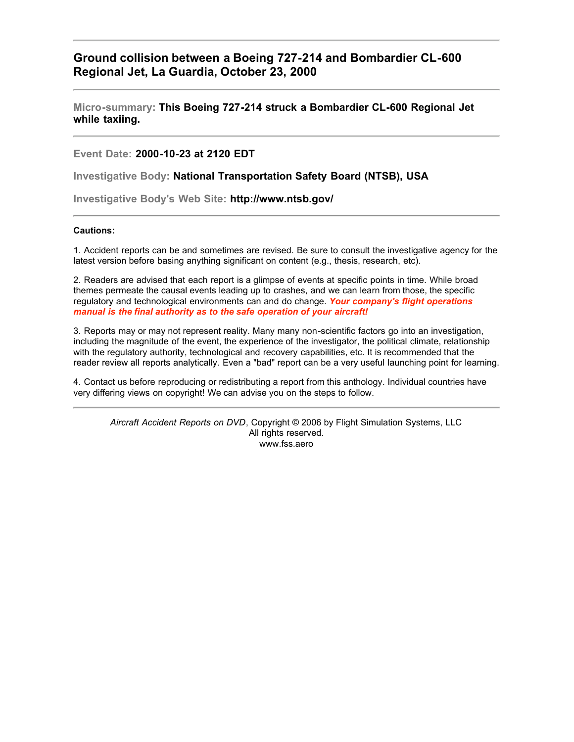**Ground collision between a Boeing 727-214 and Bombardier CL-600 Regional Jet, La Guardia, October 23, 2000**

**Micro-summary: This Boeing 727-214 struck a Bombardier CL-600 Regional Jet while taxiing.**

**Event Date: 2000-10-23 at 2120 EDT**

**Investigative Body: National Transportation Safety Board (NTSB), USA**

**Investigative Body's Web Site: http://www.ntsb.gov/**

## **Cautions:**

1. Accident reports can be and sometimes are revised. Be sure to consult the investigative agency for the latest version before basing anything significant on content (e.g., thesis, research, etc).

2. Readers are advised that each report is a glimpse of events at specific points in time. While broad themes permeate the causal events leading up to crashes, and we can learn from those, the specific regulatory and technological environments can and do change. *Your company's flight operations manual is the final authority as to the safe operation of your aircraft!*

3. Reports may or may not represent reality. Many many non-scientific factors go into an investigation, including the magnitude of the event, the experience of the investigator, the political climate, relationship with the regulatory authority, technological and recovery capabilities, etc. It is recommended that the reader review all reports analytically. Even a "bad" report can be a very useful launching point for learning.

4. Contact us before reproducing or redistributing a report from this anthology. Individual countries have very differing views on copyright! We can advise you on the steps to follow.

*Aircraft Accident Reports on DVD*, Copyright © 2006 by Flight Simulation Systems, LLC All rights reserved. www.fss.aero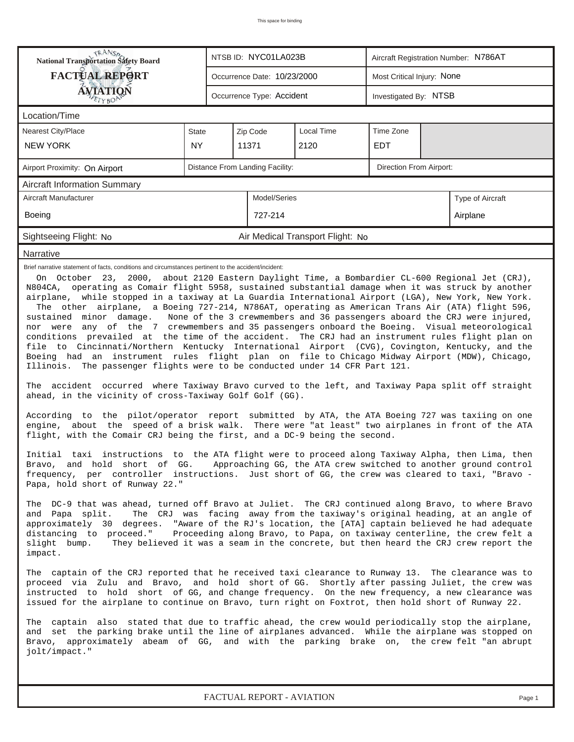| TRANSA<br>National Transportation Safety Board<br><b>FACTUAL REPORT</b><br><b>ÁVIATION</b><br>ETYBOR<br>Location/Time<br><b>Nearest City/Place</b><br><b>NEW YORK</b><br>Airport Proximity: On Airport<br><b>Aircraft Information Summary</b><br>Aircraft Manufacturer<br><b>Boeing</b>                                                                                                                                                                                                                                                                                                                                                                                                                                                                                                                                                                                                                                                                                                                                                                                                                                                                                                                                                                                                                                                                                                                                                                                                                                                                                                                                                                                                                                                                                                                                                                                                                                                                                                                                                                                                                                                                                                                                                                                                                                                                                                                                                                                                                                                                                                                                                                                                                                                                                                                                                                                                                                                                                                                                                                                                                                                                                                                | <b>State</b><br><b>NY</b> | NTSB ID: NYC01LA023B<br>Occurrence Date: 10/23/2000<br>Occurrence Type: Accident<br>Zip Code<br>11371<br>Distance From Landing Facility:<br>Model/Series<br>727-214 | <b>Local Time</b><br>2120        | Most Critical Injury: None<br>Investigated By: NTSB<br>Time Zone<br><b>EDT</b><br>Direction From Airport: |  | Aircraft Registration Number: N786AT |  |
|--------------------------------------------------------------------------------------------------------------------------------------------------------------------------------------------------------------------------------------------------------------------------------------------------------------------------------------------------------------------------------------------------------------------------------------------------------------------------------------------------------------------------------------------------------------------------------------------------------------------------------------------------------------------------------------------------------------------------------------------------------------------------------------------------------------------------------------------------------------------------------------------------------------------------------------------------------------------------------------------------------------------------------------------------------------------------------------------------------------------------------------------------------------------------------------------------------------------------------------------------------------------------------------------------------------------------------------------------------------------------------------------------------------------------------------------------------------------------------------------------------------------------------------------------------------------------------------------------------------------------------------------------------------------------------------------------------------------------------------------------------------------------------------------------------------------------------------------------------------------------------------------------------------------------------------------------------------------------------------------------------------------------------------------------------------------------------------------------------------------------------------------------------------------------------------------------------------------------------------------------------------------------------------------------------------------------------------------------------------------------------------------------------------------------------------------------------------------------------------------------------------------------------------------------------------------------------------------------------------------------------------------------------------------------------------------------------------------------------------------------------------------------------------------------------------------------------------------------------------------------------------------------------------------------------------------------------------------------------------------------------------------------------------------------------------------------------------------------------------------------------------------------------------------------------------------------------|---------------------------|---------------------------------------------------------------------------------------------------------------------------------------------------------------------|----------------------------------|-----------------------------------------------------------------------------------------------------------|--|--------------------------------------|--|
|                                                                                                                                                                                                                                                                                                                                                                                                                                                                                                                                                                                                                                                                                                                                                                                                                                                                                                                                                                                                                                                                                                                                                                                                                                                                                                                                                                                                                                                                                                                                                                                                                                                                                                                                                                                                                                                                                                                                                                                                                                                                                                                                                                                                                                                                                                                                                                                                                                                                                                                                                                                                                                                                                                                                                                                                                                                                                                                                                                                                                                                                                                                                                                                                        |                           |                                                                                                                                                                     |                                  |                                                                                                           |  |                                      |  |
|                                                                                                                                                                                                                                                                                                                                                                                                                                                                                                                                                                                                                                                                                                                                                                                                                                                                                                                                                                                                                                                                                                                                                                                                                                                                                                                                                                                                                                                                                                                                                                                                                                                                                                                                                                                                                                                                                                                                                                                                                                                                                                                                                                                                                                                                                                                                                                                                                                                                                                                                                                                                                                                                                                                                                                                                                                                                                                                                                                                                                                                                                                                                                                                                        |                           |                                                                                                                                                                     |                                  |                                                                                                           |  |                                      |  |
|                                                                                                                                                                                                                                                                                                                                                                                                                                                                                                                                                                                                                                                                                                                                                                                                                                                                                                                                                                                                                                                                                                                                                                                                                                                                                                                                                                                                                                                                                                                                                                                                                                                                                                                                                                                                                                                                                                                                                                                                                                                                                                                                                                                                                                                                                                                                                                                                                                                                                                                                                                                                                                                                                                                                                                                                                                                                                                                                                                                                                                                                                                                                                                                                        |                           |                                                                                                                                                                     |                                  |                                                                                                           |  |                                      |  |
|                                                                                                                                                                                                                                                                                                                                                                                                                                                                                                                                                                                                                                                                                                                                                                                                                                                                                                                                                                                                                                                                                                                                                                                                                                                                                                                                                                                                                                                                                                                                                                                                                                                                                                                                                                                                                                                                                                                                                                                                                                                                                                                                                                                                                                                                                                                                                                                                                                                                                                                                                                                                                                                                                                                                                                                                                                                                                                                                                                                                                                                                                                                                                                                                        |                           |                                                                                                                                                                     |                                  |                                                                                                           |  |                                      |  |
|                                                                                                                                                                                                                                                                                                                                                                                                                                                                                                                                                                                                                                                                                                                                                                                                                                                                                                                                                                                                                                                                                                                                                                                                                                                                                                                                                                                                                                                                                                                                                                                                                                                                                                                                                                                                                                                                                                                                                                                                                                                                                                                                                                                                                                                                                                                                                                                                                                                                                                                                                                                                                                                                                                                                                                                                                                                                                                                                                                                                                                                                                                                                                                                                        |                           |                                                                                                                                                                     |                                  |                                                                                                           |  |                                      |  |
|                                                                                                                                                                                                                                                                                                                                                                                                                                                                                                                                                                                                                                                                                                                                                                                                                                                                                                                                                                                                                                                                                                                                                                                                                                                                                                                                                                                                                                                                                                                                                                                                                                                                                                                                                                                                                                                                                                                                                                                                                                                                                                                                                                                                                                                                                                                                                                                                                                                                                                                                                                                                                                                                                                                                                                                                                                                                                                                                                                                                                                                                                                                                                                                                        |                           |                                                                                                                                                                     |                                  |                                                                                                           |  |                                      |  |
|                                                                                                                                                                                                                                                                                                                                                                                                                                                                                                                                                                                                                                                                                                                                                                                                                                                                                                                                                                                                                                                                                                                                                                                                                                                                                                                                                                                                                                                                                                                                                                                                                                                                                                                                                                                                                                                                                                                                                                                                                                                                                                                                                                                                                                                                                                                                                                                                                                                                                                                                                                                                                                                                                                                                                                                                                                                                                                                                                                                                                                                                                                                                                                                                        |                           |                                                                                                                                                                     |                                  |                                                                                                           |  |                                      |  |
|                                                                                                                                                                                                                                                                                                                                                                                                                                                                                                                                                                                                                                                                                                                                                                                                                                                                                                                                                                                                                                                                                                                                                                                                                                                                                                                                                                                                                                                                                                                                                                                                                                                                                                                                                                                                                                                                                                                                                                                                                                                                                                                                                                                                                                                                                                                                                                                                                                                                                                                                                                                                                                                                                                                                                                                                                                                                                                                                                                                                                                                                                                                                                                                                        |                           |                                                                                                                                                                     |                                  |                                                                                                           |  |                                      |  |
|                                                                                                                                                                                                                                                                                                                                                                                                                                                                                                                                                                                                                                                                                                                                                                                                                                                                                                                                                                                                                                                                                                                                                                                                                                                                                                                                                                                                                                                                                                                                                                                                                                                                                                                                                                                                                                                                                                                                                                                                                                                                                                                                                                                                                                                                                                                                                                                                                                                                                                                                                                                                                                                                                                                                                                                                                                                                                                                                                                                                                                                                                                                                                                                                        |                           |                                                                                                                                                                     |                                  |                                                                                                           |  | Type of Aircraft                     |  |
|                                                                                                                                                                                                                                                                                                                                                                                                                                                                                                                                                                                                                                                                                                                                                                                                                                                                                                                                                                                                                                                                                                                                                                                                                                                                                                                                                                                                                                                                                                                                                                                                                                                                                                                                                                                                                                                                                                                                                                                                                                                                                                                                                                                                                                                                                                                                                                                                                                                                                                                                                                                                                                                                                                                                                                                                                                                                                                                                                                                                                                                                                                                                                                                                        |                           |                                                                                                                                                                     |                                  |                                                                                                           |  | Airplane                             |  |
| Sightseeing Flight: No                                                                                                                                                                                                                                                                                                                                                                                                                                                                                                                                                                                                                                                                                                                                                                                                                                                                                                                                                                                                                                                                                                                                                                                                                                                                                                                                                                                                                                                                                                                                                                                                                                                                                                                                                                                                                                                                                                                                                                                                                                                                                                                                                                                                                                                                                                                                                                                                                                                                                                                                                                                                                                                                                                                                                                                                                                                                                                                                                                                                                                                                                                                                                                                 |                           |                                                                                                                                                                     | Air Medical Transport Flight: No |                                                                                                           |  |                                      |  |
| Narrative                                                                                                                                                                                                                                                                                                                                                                                                                                                                                                                                                                                                                                                                                                                                                                                                                                                                                                                                                                                                                                                                                                                                                                                                                                                                                                                                                                                                                                                                                                                                                                                                                                                                                                                                                                                                                                                                                                                                                                                                                                                                                                                                                                                                                                                                                                                                                                                                                                                                                                                                                                                                                                                                                                                                                                                                                                                                                                                                                                                                                                                                                                                                                                                              |                           |                                                                                                                                                                     |                                  |                                                                                                           |  |                                      |  |
| Brief narrative statement of facts, conditions and circumstances pertinent to the accident/incident:<br>On October 23, 2000, about 2120 Eastern Daylight Time, a Bombardier CL-600 Regional Jet (CRJ),<br>N804CA, operating as Comair flight 5958, sustained substantial damage when it was struck by another<br>airplane, while stopped in a taxiway at La Guardia International Airport (LGA), New York, New York.<br>The other airplane, a Boeing 727-214, N786AT, operating as American Trans Air (ATA) flight 596,<br>sustained minor damage.<br>None of the 3 crewmembers and 36 passengers aboard the CRJ were injured,<br>nor were any of the 7 crewmembers and 35 passengers onboard the Boeing. Visual meteorological<br>conditions prevailed at the time of the accident. The CRJ had an instrument rules flight plan on<br>file to Cincinnati/Northern Kentucky International Airport (CVG), Covington, Kentucky, and the<br>Boeing had an instrument rules flight plan on file to Chicago Midway Airport (MDW), Chicago,<br>Illinois. The passenger flights were to be conducted under 14 CFR Part 121.<br>The accident occurred where Taxiway Bravo curved to the left, and Taxiway Papa split off straight<br>ahead, in the vicinity of cross-Taxiway Golf Golf (GG).<br>According to the pilot/operator report submitted by ATA, the ATA Boeing 727 was taxiing on one<br>engine, about the speed of a brisk walk. There were "at least" two airplanes in front of the ATA<br>flight, with the Comair CRJ being the first, and a DC-9 being the second.<br>Initial taxi instructions to the ATA flight were to proceed along Taxiway Alpha, then Lima, then<br>Bravo,  and  hold  short  of  GG.    Approaching GG, the ATA crew switched to another ground control<br>frequency, per controller instructions. Just short of GG, the crew was cleared to taxi, "Bravo -<br>Papa, hold short of Runway 22."<br>The DC-9 that was ahead, turned off Bravo at Juliet. The CRJ continued along Bravo, to where Bravo<br>The CRJ was facing away from the taxiway's original heading, at an angle of<br>and Papa split.<br>approximately 30 degrees. "Aware of the RJ's location, the [ATA] captain believed he had adequate<br>Proceeding along Bravo, to Papa, on taxiway centerline, the crew felt a<br>distancing to proceed."<br>They believed it was a seam in the concrete, but then heard the CRJ crew report the<br>slight bump.<br>impact.<br>The captain of the CRJ reported that he received taxi clearance to Runway 13. The clearance was to<br>proceed via Zulu and Bravo, and hold short of GG. Shortly after passing Juliet, the crew was<br>instructed to hold short of GG, and change frequency. On the new frequency, a new clearance was<br>issued for the airplane to continue on Bravo, turn right on Foxtrot, then hold short of Runway 22.<br>The captain also stated that due to traffic ahead, the crew would periodically stop the airplane,<br>and set the parking brake until the line of airplanes advanced. While the airplane was stopped on<br>Bravo, approximately abeam of GG, and with the parking brake on, the crew felt "an abrupt<br>jolt/impact." |                           |                                                                                                                                                                     |                                  |                                                                                                           |  |                                      |  |

*FACTUAL REPORT - AVIATION Page 1*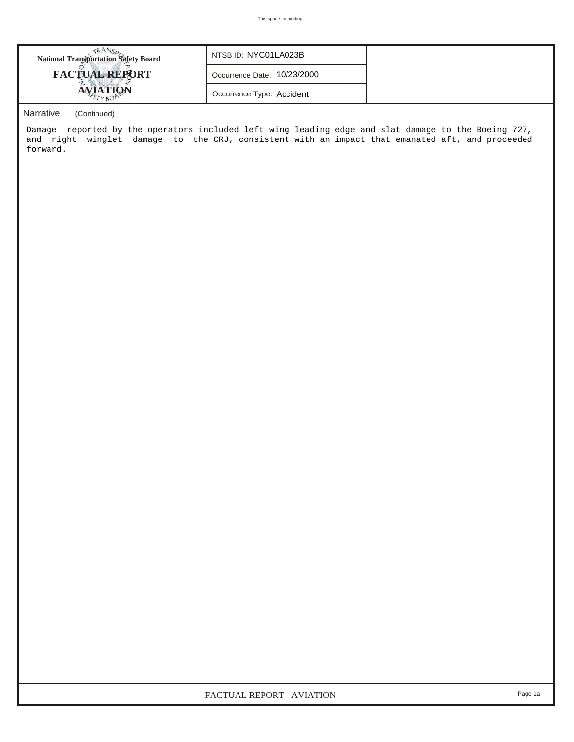| <b>National Transportation Safety Board</b> | NTSB ID: NYC01LA023B        |  |
|---------------------------------------------|-----------------------------|--|
| <b>FACTUAL REPORT</b>                       | Occurrence Date: 10/23/2000 |  |
|                                             | Occurrence Type: Accident   |  |

## *Narrative (Continued)*

Damage reported by the operators included left wing leading edge and slat damage to the Boeing 727, and right winglet damage to the CRJ, consistent with an impact that emanated aft, and proceeded forward.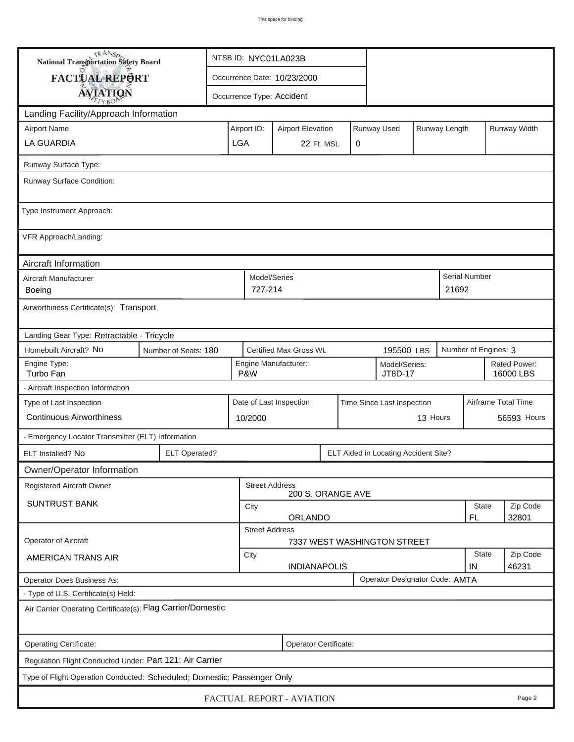| <b>National Transportation Safety Board</b>                                                                     |                                                  | NTSB ID: NYC01LA023B |                                                       |                                                         |          |  |                                      |                    |                           |                      |  |              |
|-----------------------------------------------------------------------------------------------------------------|--------------------------------------------------|----------------------|-------------------------------------------------------|---------------------------------------------------------|----------|--|--------------------------------------|--------------------|---------------------------|----------------------|--|--------------|
| FACTUAL REPORT                                                                                                  |                                                  |                      |                                                       | Occurrence Date: 10/23/2000                             |          |  |                                      |                    |                           |                      |  |              |
| <b>AVIATION</b>                                                                                                 |                                                  |                      |                                                       | Occurrence Type: Accident                               |          |  |                                      |                    |                           |                      |  |              |
| Landing Facility/Approach Information                                                                           |                                                  |                      |                                                       |                                                         |          |  |                                      |                    |                           |                      |  |              |
| <b>Airport Name</b>                                                                                             |                                                  |                      | Airport ID:                                           | <b>Airport Elevation</b>                                |          |  | Runway Used                          |                    | Runway Length             |                      |  | Runway Width |
| <b>LA GUARDIA</b>                                                                                               |                                                  |                      | <b>LGA</b>                                            | 22 Ft. MSL<br>0                                         |          |  |                                      |                    |                           |                      |  |              |
| Runway Surface Type:                                                                                            |                                                  |                      |                                                       |                                                         |          |  |                                      |                    |                           |                      |  |              |
| Runway Surface Condition:                                                                                       |                                                  |                      |                                                       |                                                         |          |  |                                      |                    |                           |                      |  |              |
| Type Instrument Approach:                                                                                       |                                                  |                      |                                                       |                                                         |          |  |                                      |                    |                           |                      |  |              |
| VFR Approach/Landing:                                                                                           |                                                  |                      |                                                       |                                                         |          |  |                                      |                    |                           |                      |  |              |
| Aircraft Information                                                                                            |                                                  |                      |                                                       |                                                         |          |  |                                      |                    |                           |                      |  |              |
| Aircraft Manufacturer<br>Boeing                                                                                 |                                                  |                      |                                                       | Model/Series<br>727-214                                 |          |  |                                      |                    | 21692                     | <b>Serial Number</b> |  |              |
| Airworthiness Certificate(s): Transport                                                                         |                                                  |                      |                                                       |                                                         |          |  |                                      |                    |                           |                      |  |              |
| Landing Gear Type: Retractable - Tricycle                                                                       |                                                  |                      |                                                       |                                                         |          |  |                                      |                    |                           |                      |  |              |
| Homebuilt Aircraft? No<br>Certified Max Gross Wt.<br>Number of Engines: 3<br>Number of Seats: 180<br>195500 LBS |                                                  |                      |                                                       |                                                         |          |  |                                      |                    |                           |                      |  |              |
| Engine Type:<br>Turbo Fan                                                                                       |                                                  |                      |                                                       | Engine Manufacturer:<br>Model/Series:<br>P&W<br>JT8D-17 |          |  |                                      |                    | Rated Power:<br>16000 LBS |                      |  |              |
| - Aircraft Inspection Information                                                                               |                                                  |                      |                                                       |                                                         |          |  |                                      |                    |                           |                      |  |              |
| Type of Last Inspection                                                                                         |                                                  |                      | Date of Last Inspection<br>Time Since Last Inspection |                                                         |          |  |                                      |                    |                           | Airframe Total Time  |  |              |
| <b>Continuous Airworthiness</b>                                                                                 |                                                  |                      | 10/2000                                               |                                                         | 13 Hours |  |                                      |                    | 56593 Hours               |                      |  |              |
| - Emergency Locator Transmitter (ELT) Information                                                               |                                                  |                      |                                                       |                                                         |          |  |                                      |                    |                           |                      |  |              |
| ELT Installed? No                                                                                               | <b>ELT Operated?</b>                             |                      |                                                       |                                                         |          |  | ELT Aided in Locating Accident Site? |                    |                           |                      |  |              |
| Owner/Operator Information                                                                                      |                                                  |                      |                                                       |                                                         |          |  |                                      |                    |                           |                      |  |              |
| Registered Aircraft Owner                                                                                       |                                                  |                      |                                                       | <b>Street Address</b><br>200 S. ORANGE AVE              |          |  |                                      |                    |                           |                      |  |              |
| <b>SUNTRUST BANK</b>                                                                                            |                                                  |                      | City                                                  |                                                         |          |  |                                      |                    |                           | State                |  | Zip Code     |
|                                                                                                                 | ORLANDO<br>FL.<br>32801<br><b>Street Address</b> |                      |                                                       |                                                         |          |  |                                      |                    |                           |                      |  |              |
| Operator of Aircraft                                                                                            | 7337 WEST WASHINGTON STREET                      |                      |                                                       |                                                         |          |  |                                      |                    |                           |                      |  |              |
| AMERICAN TRANS AIR                                                                                              | City<br><b>INDIANAPOLIS</b>                      |                      |                                                       |                                                         |          |  |                                      | <b>State</b><br>IN |                           | Zip Code<br>46231    |  |              |
| Operator Designator Code: AMTA<br><b>Operator Does Business As:</b>                                             |                                                  |                      |                                                       |                                                         |          |  |                                      |                    |                           |                      |  |              |
| - Type of U.S. Certificate(s) Held:                                                                             |                                                  |                      |                                                       |                                                         |          |  |                                      |                    |                           |                      |  |              |
| Air Carrier Operating Certificate(s): Flag Carrier/Domestic                                                     |                                                  |                      |                                                       |                                                         |          |  |                                      |                    |                           |                      |  |              |
| Operating Certificate:<br>Operator Certificate:                                                                 |                                                  |                      |                                                       |                                                         |          |  |                                      |                    |                           |                      |  |              |
| Regulation Flight Conducted Under: Part 121: Air Carrier                                                        |                                                  |                      |                                                       |                                                         |          |  |                                      |                    |                           |                      |  |              |
| Type of Flight Operation Conducted: Scheduled; Domestic; Passenger Only                                         |                                                  |                      |                                                       |                                                         |          |  |                                      |                    |                           |                      |  |              |
| FACTUAL REPORT - AVIATION<br>Page 2                                                                             |                                                  |                      |                                                       |                                                         |          |  |                                      |                    |                           |                      |  |              |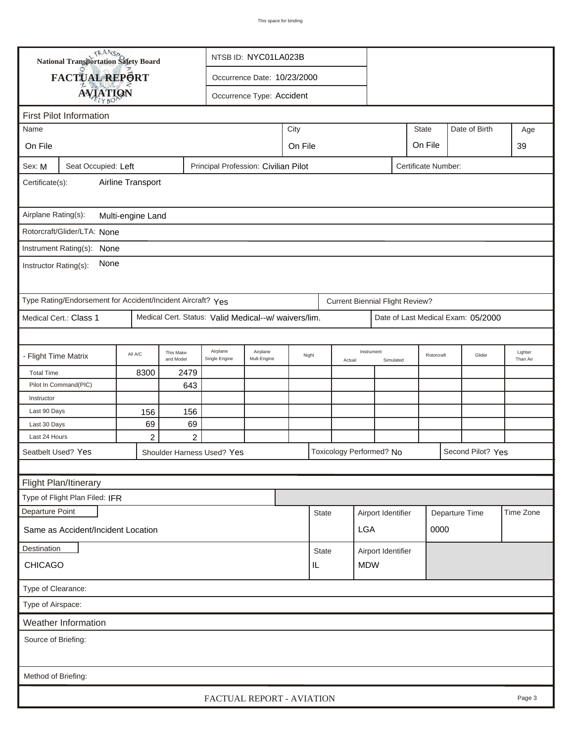| <b>National Transportation Safety Board</b>                 |                 |                |                        |                                                      | NTSB ID: NYC01LA023B        |                                       |                  |        |                                        |                    |                            |                |                                    |                     |
|-------------------------------------------------------------|-----------------|----------------|------------------------|------------------------------------------------------|-----------------------------|---------------------------------------|------------------|--------|----------------------------------------|--------------------|----------------------------|----------------|------------------------------------|---------------------|
| FACTUAL REPORT                                              |                 |                |                        |                                                      | Occurrence Date: 10/23/2000 |                                       |                  |        |                                        |                    |                            |                |                                    |                     |
|                                                             | <b>AVIATION</b> |                |                        |                                                      | Occurrence Type: Accident   |                                       |                  |        |                                        |                    |                            |                |                                    |                     |
|                                                             |                 |                |                        |                                                      |                             |                                       |                  |        |                                        |                    |                            |                |                                    |                     |
| <b>First Pilot Information</b>                              |                 |                |                        |                                                      |                             |                                       |                  |        |                                        |                    |                            |                |                                    |                     |
| Name                                                        |                 |                |                        |                                                      |                             | <b>State</b><br>Date of Birth<br>City |                  |        |                                        |                    |                            |                |                                    | Age                 |
| On File                                                     | On File         |                |                        |                                                      |                             |                                       |                  |        |                                        |                    | On File                    |                |                                    | 39                  |
| Sex: M<br>Seat Occupied: Left                               |                 |                |                        | Principal Profession: Civilian Pilot                 |                             |                                       |                  |        |                                        |                    | <b>Certificate Number:</b> |                |                                    |                     |
| Airline Transport<br>Certificate(s):                        |                 |                |                        |                                                      |                             |                                       |                  |        |                                        |                    |                            |                |                                    |                     |
| Airplane Rating(s):<br>Multi-engine Land                    |                 |                |                        |                                                      |                             |                                       |                  |        |                                        |                    |                            |                |                                    |                     |
| Rotorcraft/Glider/LTA: None                                 |                 |                |                        |                                                      |                             |                                       |                  |        |                                        |                    |                            |                |                                    |                     |
| Instrument Rating(s): None                                  |                 |                |                        |                                                      |                             |                                       |                  |        |                                        |                    |                            |                |                                    |                     |
| None<br>Instructor Rating(s):                               |                 |                |                        |                                                      |                             |                                       |                  |        |                                        |                    |                            |                |                                    |                     |
| Type Rating/Endorsement for Accident/Incident Aircraft? Yes |                 |                |                        |                                                      |                             |                                       |                  |        | <b>Current Biennial Flight Review?</b> |                    |                            |                |                                    |                     |
| Medical Cert.: Class 1                                      |                 |                |                        | Medical Cert. Status: Valid Medical--w/ waivers/lim. |                             |                                       |                  |        |                                        |                    |                            |                | Date of Last Medical Exam: 05/2000 |                     |
|                                                             |                 |                |                        |                                                      |                             |                                       |                  |        |                                        |                    |                            |                |                                    |                     |
| <b>Flight Time Matrix</b>                                   |                 | All A/C        | This Make<br>and Model | Airplane<br>Single Engine                            | Airplane<br>Mult-Engine     |                                       | Night            | Actual | Instrument<br>Simulated                |                    | Rotorcraft                 |                | Glider                             | Lighter<br>Than Air |
| <b>Total Time</b>                                           |                 | 8300           | 2479                   |                                                      |                             |                                       |                  |        |                                        |                    |                            |                |                                    |                     |
| Pilot In Command(PIC)                                       |                 |                | 643                    |                                                      |                             |                                       |                  |        |                                        |                    |                            |                |                                    |                     |
| Instructor                                                  |                 |                |                        |                                                      |                             |                                       |                  |        |                                        |                    |                            |                |                                    |                     |
| Last 90 Days                                                |                 | 156            | 156                    |                                                      |                             |                                       |                  |        |                                        |                    |                            |                |                                    |                     |
| Last 30 Days                                                |                 | 69             | 69                     |                                                      |                             |                                       |                  |        |                                        |                    |                            |                |                                    |                     |
| Last 24 Hours                                               |                 | $\overline{c}$ | $\overline{2}$         |                                                      |                             |                                       |                  |        |                                        |                    |                            |                |                                    |                     |
| Seatbelt Used? Yes                                          |                 |                |                        | Shoulder Harness Used? Yes                           |                             |                                       |                  |        | Toxicology Performed? No               |                    |                            |                | Second Pilot? Yes                  |                     |
|                                                             |                 |                |                        |                                                      |                             |                                       |                  |        |                                        |                    |                            |                |                                    |                     |
| Flight Plan/Itinerary                                       |                 |                |                        |                                                      |                             |                                       |                  |        |                                        |                    |                            |                |                                    |                     |
| Type of Flight Plan Filed: IFR                              |                 |                |                        |                                                      |                             |                                       |                  |        |                                        |                    |                            |                |                                    |                     |
| Departure Point                                             |                 |                |                        |                                                      |                             |                                       | <b>State</b>     |        |                                        | Airport Identifier |                            | Departure Time |                                    | Time Zone           |
| Same as Accident/Incident Location                          |                 |                |                        |                                                      |                             |                                       |                  |        | <b>LGA</b>                             |                    |                            | 0000           |                                    |                     |
| Destination                                                 |                 |                |                        |                                                      |                             |                                       | State            |        | Airport Identifier                     |                    |                            |                |                                    |                     |
| <b>CHICAGO</b>                                              |                 |                |                        |                                                      |                             |                                       | <b>MDW</b><br>IL |        |                                        |                    |                            |                |                                    |                     |
| Type of Clearance:                                          |                 |                |                        |                                                      |                             |                                       |                  |        |                                        |                    |                            |                |                                    |                     |
| Type of Airspace:                                           |                 |                |                        |                                                      |                             |                                       |                  |        |                                        |                    |                            |                |                                    |                     |
| Weather Information                                         |                 |                |                        |                                                      |                             |                                       |                  |        |                                        |                    |                            |                |                                    |                     |
| Source of Briefing:                                         |                 |                |                        |                                                      |                             |                                       |                  |        |                                        |                    |                            |                |                                    |                     |
|                                                             |                 |                |                        |                                                      |                             |                                       |                  |        |                                        |                    |                            |                |                                    |                     |
|                                                             |                 |                |                        |                                                      |                             |                                       |                  |        |                                        |                    |                            |                |                                    |                     |
| Method of Briefing:                                         |                 |                |                        |                                                      |                             |                                       |                  |        |                                        |                    |                            |                |                                    |                     |
|                                                             |                 |                |                        | FACTUAL REPORT - AVIATION                            |                             |                                       |                  |        |                                        |                    |                            |                |                                    | Page 3              |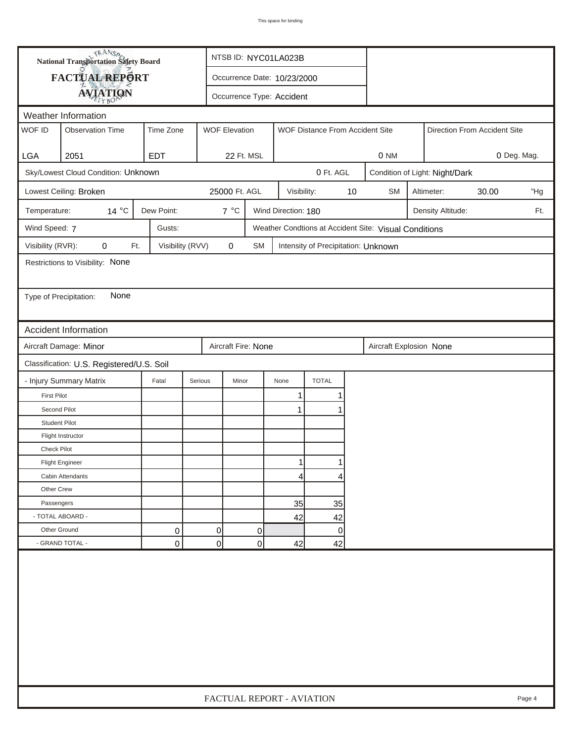|                                           | <b>National Transportation Safety Board</b><br>NTSB ID: NYC01LA023B |                  |                           |                                                         |                     |                                     |    |                                                       |  |                                |       |             |  |
|-------------------------------------------|---------------------------------------------------------------------|------------------|---------------------------|---------------------------------------------------------|---------------------|-------------------------------------|----|-------------------------------------------------------|--|--------------------------------|-------|-------------|--|
|                                           | FACTUAL REPORT                                                      |                  |                           | Occurrence Date: 10/23/2000                             |                     |                                     |    |                                                       |  |                                |       |             |  |
|                                           | <b>AVIATION</b>                                                     |                  | Occurrence Type: Accident |                                                         |                     |                                     |    |                                                       |  |                                |       |             |  |
|                                           | Weather Information                                                 |                  |                           |                                                         |                     |                                     |    |                                                       |  |                                |       |             |  |
| WOF ID                                    | <b>Observation Time</b>                                             | Time Zone        |                           | <b>WOF Elevation</b><br>WOF Distance From Accident Site |                     |                                     |    |                                                       |  | Direction From Accident Site   |       |             |  |
|                                           |                                                                     |                  |                           |                                                         |                     |                                     |    |                                                       |  |                                |       |             |  |
| <b>LGA</b>                                | 2051                                                                | <b>EDT</b>       |                           | 22 Ft. MSL                                              |                     |                                     |    | 0 NM                                                  |  |                                |       | 0 Deg. Mag. |  |
|                                           | Sky/Lowest Cloud Condition: Unknown                                 |                  |                           |                                                         |                     | 0 Ft. AGL                           |    |                                                       |  | Condition of Light: Night/Dark |       |             |  |
|                                           | Lowest Ceiling: Broken                                              |                  | 25000 Ft. AGL             |                                                         | Visibility:         |                                     | 10 | <b>SM</b>                                             |  | Altimeter:                     | 30.00 | "Hg         |  |
| Temperature:                              | 14 °C                                                               | Dew Point:       | $7^{\circ}$ C             |                                                         | Wind Direction: 180 |                                     |    |                                                       |  | Density Altitude:              |       | Ft.         |  |
| Wind Speed: 7                             |                                                                     | Gusts:           |                           |                                                         |                     |                                     |    | Weather Condtions at Accident Site: Visual Conditions |  |                                |       |             |  |
| Visibility (RVR):                         | 0<br>Ft.                                                            | Visibility (RVV) | $\mathbf 0$               | <b>SM</b>                                               |                     | Intensity of Precipitation: Unknown |    |                                                       |  |                                |       |             |  |
|                                           | Restrictions to Visibility: None                                    |                  |                           |                                                         |                     |                                     |    |                                                       |  |                                |       |             |  |
|                                           |                                                                     |                  |                           |                                                         |                     |                                     |    |                                                       |  |                                |       |             |  |
| Type of Precipitation:                    | None                                                                |                  |                           |                                                         |                     |                                     |    |                                                       |  |                                |       |             |  |
|                                           |                                                                     |                  |                           |                                                         |                     |                                     |    |                                                       |  |                                |       |             |  |
|                                           | <b>Accident Information</b>                                         |                  |                           |                                                         |                     |                                     |    |                                                       |  |                                |       |             |  |
|                                           | Aircraft Damage: Minor                                              |                  |                           | Aircraft Fire: None                                     |                     |                                     |    | Aircraft Explosion None                               |  |                                |       |             |  |
| Classification: U.S. Registered/U.S. Soil |                                                                     |                  |                           |                                                         |                     |                                     |    |                                                       |  |                                |       |             |  |
|                                           | - Injury Summary Matrix                                             | Fatal            | Serious                   | Minor                                                   | None                | <b>TOTAL</b>                        |    |                                                       |  |                                |       |             |  |
| <b>First Pilot</b>                        |                                                                     |                  |                           |                                                         | 1                   |                                     |    |                                                       |  |                                |       |             |  |
| Second Pilot                              |                                                                     |                  |                           |                                                         | $\mathbf{1}$        |                                     |    |                                                       |  |                                |       |             |  |
| <b>Student Pilot</b>                      |                                                                     |                  |                           |                                                         |                     |                                     |    |                                                       |  |                                |       |             |  |
|                                           | Flight Instructor                                                   |                  |                           |                                                         |                     |                                     |    |                                                       |  |                                |       |             |  |
| Check Pilot                               |                                                                     |                  |                           |                                                         |                     |                                     |    |                                                       |  |                                |       |             |  |
|                                           | <b>Flight Engineer</b>                                              |                  |                           |                                                         | 1                   |                                     |    |                                                       |  |                                |       |             |  |
|                                           | Cabin Attendants                                                    |                  |                           |                                                         | 4                   | 4                                   |    |                                                       |  |                                |       |             |  |
| Other Crew                                |                                                                     |                  |                           |                                                         |                     |                                     |    |                                                       |  |                                |       |             |  |
| Passengers                                |                                                                     |                  |                           |                                                         | 35                  | 35                                  |    |                                                       |  |                                |       |             |  |
| - TOTAL ABOARD -                          |                                                                     |                  |                           |                                                         | 42                  | 42                                  |    |                                                       |  |                                |       |             |  |
| Other Ground                              |                                                                     | 0                | 0                         | 0                                                       |                     | 0                                   |    |                                                       |  |                                |       |             |  |
|                                           | - GRAND TOTAL -                                                     | 0                | 0                         | 0                                                       | 42                  | 42                                  |    |                                                       |  |                                |       |             |  |
|                                           |                                                                     |                  |                           |                                                         |                     |                                     |    |                                                       |  |                                |       |             |  |
|                                           |                                                                     |                  | FACTUAL REPORT - AVIATION |                                                         |                     |                                     |    |                                                       |  |                                |       | Page 4      |  |